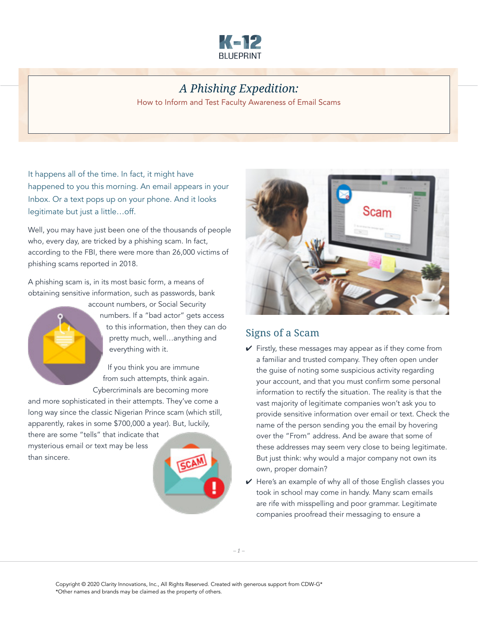

# *A Phishing Expedition:*

How to Inform and Test Faculty Awareness of Email Scams

It happens all of the time. In fact, it might have happened to you this morning. An email appears in your Inbox. Or a text pops up on your phone. And it looks legitimate but just a little…off.

Well, you may have just been one of the thousands of people who, every day, are tricked by a phishing scam. In fact, according to the FBI, there were more than 26,000 victims of phishing scams reported in 2018.

A phishing scam is, in its most basic form, a means of obtaining sensitive information, such as passwords, bank



account numbers, or Social Security numbers. If a "bad actor" gets access to this information, then they can do pretty much, well…anything and everything with it.

If you think you are immune from such attempts, think again. Cybercriminals are becoming more

and more sophisticated in their attempts. They've come a long way since the classic Nigerian Prince scam (which still, apparently, rakes in some \$700,000 a year). But, luckily, there are some "tells" that indicate that

mysterious email or text may be less than sincere.





### Signs of a Scam

- $\checkmark$  Firstly, these messages may appear as if they come from a familiar and trusted company. They often open under the guise of noting some suspicious activity regarding your account, and that you must confirm some personal information to rectify the situation. The reality is that the vast majority of legitimate companies won't ask you to provide sensitive information over email or text. Check the name of the person sending you the email by hovering over the "From" address. And be aware that some of these addresses may seem very close to being legitimate. But just think: why would a major company not own its own, proper domain?
- $\vee$  Here's an example of why all of those English classes you took in school may come in handy. Many scam emails are rife with misspelling and poor grammar. Legitimate companies proofread their messaging to ensure a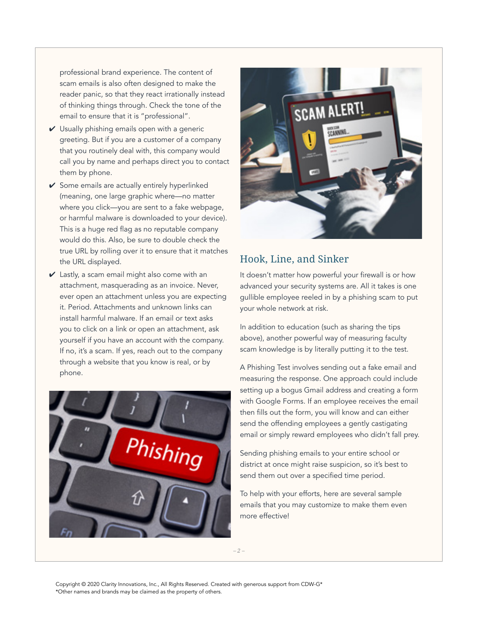professional brand experience. The content of scam emails is also often designed to make the reader panic, so that they react irrationally instead of thinking things through. Check the tone of the email to ensure that it is "professional".

- $\vee$  Usually phishing emails open with a generic greeting. But if you are a customer of a company that you routinely deal with, this company would call you by name and perhaps direct you to contact them by phone.
- $\checkmark$  Some emails are actually entirely hyperlinked (meaning, one large graphic where—no matter where you click—you are sent to a fake webpage, or harmful malware is downloaded to your device). This is a huge red flag as no reputable company would do this. Also, be sure to double check the true URL by rolling over it to ensure that it matches the URL displayed.
- $\vee$  Lastly, a scam email might also come with an attachment, masquerading as an invoice. Never, ever open an attachment unless you are expecting it. Period. Attachments and unknown links can install harmful malware. If an email or text asks you to click on a link or open an attachment, ask yourself if you have an account with the company. If no, it's a scam. If yes, reach out to the company through a website that you know is real, or by phone.





### Hook, Line, and Sinker

It doesn't matter how powerful your firewall is or how advanced your security systems are. All it takes is one gullible employee reeled in by a phishing scam to put your whole network at risk.

In addition to education (such as sharing the tips above), another powerful way of measuring faculty scam knowledge is by literally putting it to the test.

A Phishing Test involves sending out a fake email and measuring the response. One approach could include setting up a bogus Gmail address and creating a form with Google Forms. If an employee receives the email then fills out the form, you will know and can either send the offending employees a gently castigating email or simply reward employees who didn't fall prey.

Sending phishing emails to your entire school or district at once might raise suspicion, so it's best to send them out over a specified time period.

To help with your efforts, here are several sample emails that you may customize to make them even more effective!

*– 2 –*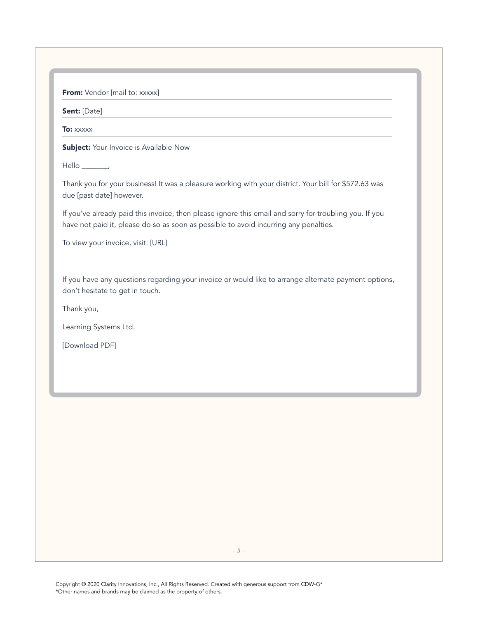From: Vendor [mail to: xxxxx]

Sent: [Date]

To: **xxxxx** 

**Subject:** Your Invoice is Available Now

Hello \_\_\_\_\_\_\_,

Thank you for your business! It was a pleasure working with your district. Your bill for \$572.63 was due [past date] however.

If you've already paid this invoice, then please ignore this email and sorry for troubling you. If you have not paid it, please do so as soon as possible to avoid incurring any penalties.

To view your invoice, visit: [URL]

If you have any questions regarding your invoice or would like to arrange alternate payment options, don't hesitate to get in touch.

Thank you,

Learning Systems Ltd.

[Download PDF]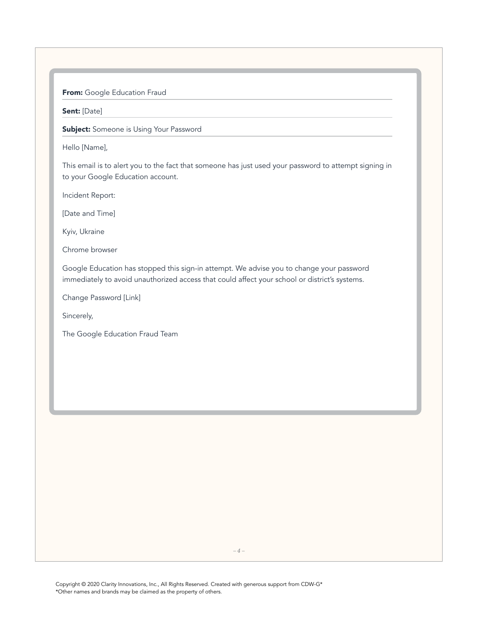#### From: Google Education Fraud

Sent: [Date]

**Subject:** Someone is Using Your Password

Hello [Name],

This email is to alert you to the fact that someone has just used your password to attempt signing in to your Google Education account.

Incident Report:

[Date and Time]

Kyiv, Ukraine

Chrome browser

Google Education has stopped this sign-in attempt. We advise you to change your password immediately to avoid unauthorized access that could affect your school or district's systems.

Change Password [Link]

Sincerely,

The Google Education Fraud Team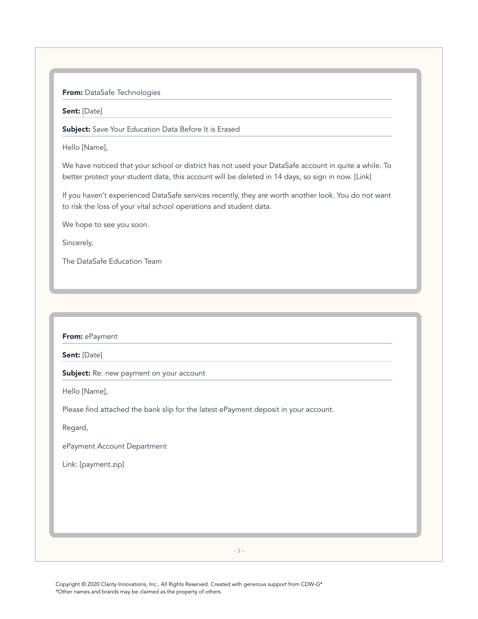#### From: DataSafe Technologies

Sent: [Date]

**Subject:** Save Your Education Data Before It is Erased

Hello [Name],

We have noticed that your school or district has not used your DataSafe account in quite a while. To better protect your student data, this account will be deleted in 14 days, so sign in now. [Link]

If you haven't experienced DataSafe services recently, they are worth another look. You do not want to risk the loss of your vital school operations and student data.

We hope to see you soon.

Sincerely,

The DataSafe Education Team

From: ePayment

Sent: [Date]

**Subject:** Re: new payment on your account

Hello [Name],

Please find attached the bank slip for the latest ePayment deposit in your account.

Regard,

ePayment Account Department

Link: [payment.zip]

*– 5 –*

Copyright © 2020 Clarity Innovations, Inc., All Rights Reserved. Created with generous support from CDW-G\* \*Other names and brands may be claimed as the property of others.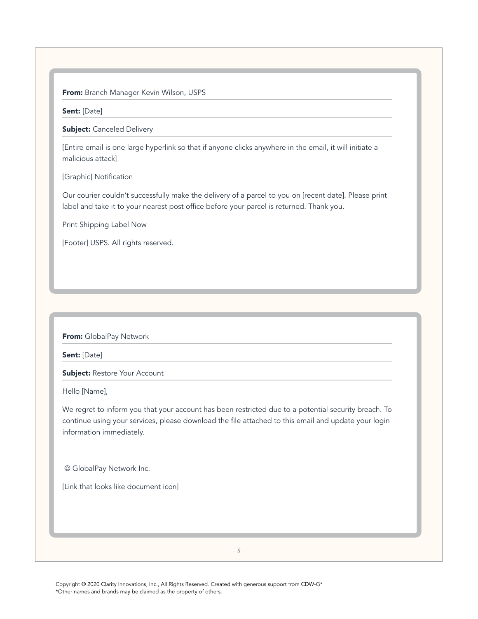#### From: Branch Manager Kevin Wilson, USPS

#### Sent: [Date]

**Subject:** Canceled Delivery

[Entire email is one large hyperlink so that if anyone clicks anywhere in the email, it will initiate a malicious attack]

[Graphic] Notification

Our courier couldn't successfully make the delivery of a parcel to you on [recent date]. Please print label and take it to your nearest post office before your parcel is returned. Thank you.

Print Shipping Label Now

[Footer] USPS. All rights reserved.

From: GlobalPay Network

Sent: [Date]

**Subject: Restore Your Account** 

Hello [Name],

We regret to inform you that your account has been restricted due to a potential security breach. To continue using your services, please download the file attached to this email and update your login information immediately.

© GlobalPay Network Inc.

[Link that looks like document icon]

*– 6 –*

Copyright © 2020 Clarity Innovations, Inc., All Rights Reserved. Created with generous support from CDW-G\* \*Other names and brands may be claimed as the property of others.